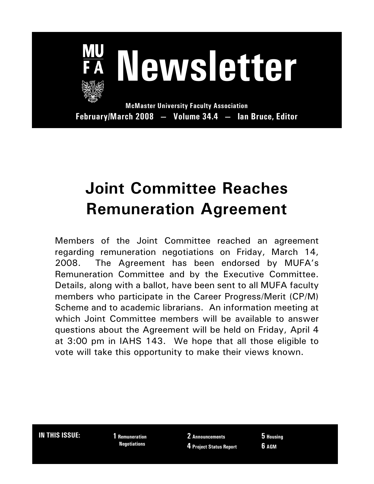

**February/March 2008 — Volume 34.4 — Ian Bruce, Editor**

## **Joint Committee Reaches Remuneration Agreement**

Members of the Joint Committee reached an agreement regarding remuneration negotiations on Friday, March 14, 2008. The Agreement has been endorsed by MUFA's Remuneration Committee and by the Executive Committee. Details, along with a ballot, have been sent to all MUFA faculty members who participate in the Career Progress/Merit (CP/M) Scheme and to academic librarians. An information meeting at which Joint Committee members will be available to answer questions about the Agreement will be held on Friday, April 4 at 3:00 pm in IAHS 143. We hope that all those eligible to vote will take this opportunity to make their views known.

**IN THIS ISSUE: 1 Remuneration**

 **Negotiations**

**2 Announcements 4 Project Status Report** **5 Housing 6 AGM**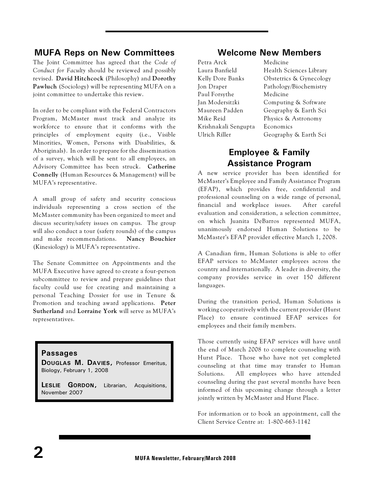#### **MUFA Reps on New Committees**

The Joint Committee has agreed that the *Code of Conduct for Faculty* should be reviewed and possibly revised. **David Hitchcock** (Philosophy) and **Dorothy Pawluch** (Sociology) will be representing MUFA on a joint committee to undertake this review.

In order to be compliant with the Federal Contractors Program, McMaster must track and analyze its workforce to ensure that it conforms with the principles of employment equity (i.e., Visible Minorities, Women, Persons with Disabilities, & Aboriginals). In order to prepare for the dissemination of a survey, which will be sent to all employees, an Advisory Committee has been struck. **Catherine Connelly** (Human Resources & Management) will be MUFA's representative.

A small group of safety and security conscious individuals representing a cross section of the McMaster community has been organized to meet and discuss security/safety issues on campus. The group will also conduct a tour (safety rounds) of the campus and make recommendations. **Nancy Bouchier** (Kinesiology) is MUFA's representative.

The Senate Committee on Appointments and the MUFA Executive have agreed to create a four-person subcommittee to review and prepare guidelines that faculty could use for creating and maintaining a personal Teaching Dossier for use in Tenure & Promotion and teaching award applications. **Peter Sutherland** and **Lorraine York** will serve as MUFA's representatives.

#### **Passages**

**DOUGLAS M. DAVIES,** Professor Emeritus, Biology, February 1, 2008

**LESLIE GORDON,** Librarian, Acquisitions, November 2007

#### **Welcome New Members**

| Petra Arck           | Medicine                |
|----------------------|-------------------------|
| Laura Banfield       | Health Sciences Library |
| Kelly Dore Banks     | Obstetrics & Gynecology |
| Jon Draper           | Pathology/Biochemistry  |
| Paul Forsythe        | Medicine                |
| Jan Modersitzki      | Computing & Software    |
| Maureen Padden       | Geography & Earth Sci   |
| Mike Reid            | Physics & Astronomy     |
| Krishnakali Sengupta | Economics               |
| Ulrich Riller        | Geography & Earth Sci   |
|                      |                         |

#### **Employee & Family Assistance Program**

A new service provider has been identified for McMaster's Employee and Family Assistance Program (EFAP), which provides free, confidential and professional counseling on a wide range of personal, financial and workplace issues. After careful evaluation and consideration, a selection committee, on which Juanita DeBarros represented MUFA, unanimously endorsed Human Solutions to be McMaster's EFAP provider effective March 1, 2008.

A Canadian firm, Human Solutions is able to offer EFAP services to McMaster employees across the country and internationally. A leader in diversity, the company provides service in over 150 different languages.

During the transition period, Human Solutions is working cooperatively with the current provider (Hurst Place) to ensure continued EFAP services for employees and their family members.

Those currently using EFAP services will have until the end of March 2008 to complete counseling with Hurst Place. Those who have not yet completed counseling at that time may transfer to Human Solutions. All employees who have attended counseling during the past several months have been informed of this upcoming change through a letter jointly written by McMaster and Hurst Place.

For information or to book an appointment, call the Client Service Centre at: 1-800-663-1142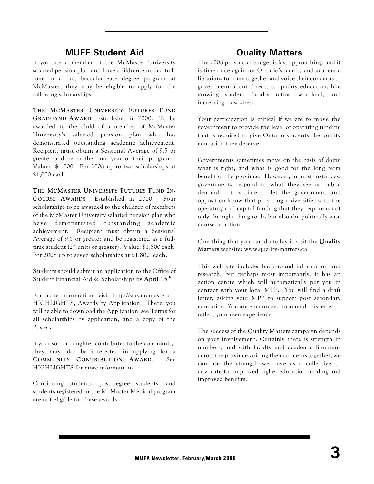#### **MUFF Student Aid**

If you are a member of the McMaster University salaried pension plan and have children enrolled fulltime in a first baccalaureate degree program at McMaster, they may be eligible to apply for the following scholarships:

**THE MCMASTER UNIVERSITY FUTURES FUND GRADUAND AWARD** Established in 2000. To be awarded to the child of a member of McMaster University's salaried pension plan who has demonstrated outstanding academic achievement. Recipient must obtain a Sessional Average of 9.5 or greater and be in the final year of their program. Value: \$1,000. For 2008 up to two scholarships at \$1,000 each.

**THE MCMASTER UNIVERSITY FUTURES FUND IN-COURSE AWARDS** Established in 2000. Four scholarships to be awarded to the children of members of the McMaster University salaried pension plan who have demonstrated outstanding academic achievement. Recipient must obtain a Sessional Average of 9.5 or greater and be registered as a fulltime student (24 units or greater). Value: \$1,800 each. For 2008 up to seven scholarships at \$1,800 each.

Students should submit an application to the Office of Student Financial Aid & Scholarships by **April 15<sup>th</sup>.** 

For more information, visit http://sfas.mcmaster.ca, HIGHLIGHTS, Awards by Application. There, you will be able to download the Application, see Terms for all scholarships by application, and a copy of the Poster.

If your son or daughter contributes to the community, they may also be interested in applying for a **COMMUNITY CONTRIBUTION AWARD**. See HIGHLIGHTS for more information.

Continuing students, post-degree students, and students registered in the McMaster Medical program are not eligible for these awards.

#### **Quality Matters**

The 2008 provincial budget is fast approaching, and it is time once again for Ontario's faculty and academic librarians to come together and voice their concerns to government about threats to quality education, like growing student faculty ratios, workload, and increasing class sizes.

Your participation is critical if we are to move the government to provide the level of operating funding that is required to give Ontario students the quality education they deserve.

Governments sometimes move on the basis of doing what is right, and what is good for the long term benefit of the province. However, in most instances, governments respond to what they see as public demand. It is time to let the government and opposition know that providing universities with the operating and capital funding that they require is not only the right thing to do but also the politically wise course of action.

One thing that you can do today is visit the **Quality Matters** website: www.quality-matters.ca

This web site includes background information and research. But perhaps most importantly, it has an action centre which will automatically put you in contact with your local MPP. You will find a draft letter, asking your MPP to support post secondary education. You are encouraged to amend this letter to reflect your own experience.

The success of the Quality Matters campaign depends on your involvement. Certainly there is strength in numbers, and with faculty and academic librarians across the province voicing their concerns together, we can use the strength we have as a collective to advocate for improved higher education funding and improved benefits.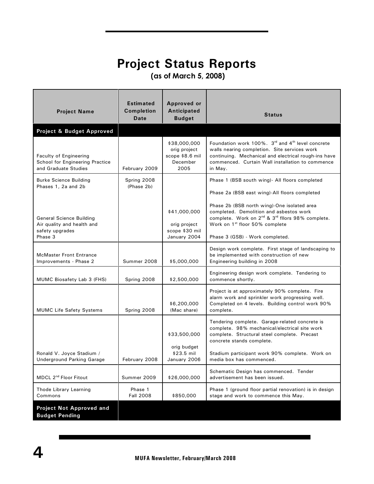### **Project Status Reports**

 **(as of March 5, 2008)**

| <b>Project Name</b>                                                                         | <b>Estimated</b><br><b>Completion</b><br>Date | <b>Approved or</b><br>Anticipated<br><b>Budget</b>                  | <b>Status</b>                                                                                                                                                                                                                                       |
|---------------------------------------------------------------------------------------------|-----------------------------------------------|---------------------------------------------------------------------|-----------------------------------------------------------------------------------------------------------------------------------------------------------------------------------------------------------------------------------------------------|
| Project & Budget Approved                                                                   |                                               |                                                                     |                                                                                                                                                                                                                                                     |
| <b>Faculty of Engineering</b><br>School for Engineering Practice<br>and Graduate Studies    | February 2009                                 | \$38,000,000<br>orig project<br>scope \$8.6 mil<br>December<br>2005 | Foundation work 100%. 3rd and 4 <sup>th</sup> level concrete<br>walls nearing completion. Site services work<br>continuing. Mechanical and electrical rough-ins have<br>commenced. Curtain Wall installation to commence<br>in May.                 |
| Burke Science Building                                                                      | Spring 2008                                   |                                                                     | Phase 1 (BSB south wing)- All floors completed                                                                                                                                                                                                      |
| Phases 1, 2a and 2b                                                                         | (Phase 2b)                                    |                                                                     | Phase 2a (BSB east wing)-All floors completed                                                                                                                                                                                                       |
| <b>General Science Building</b><br>Air quality and health and<br>safety upgrades<br>Phase 3 |                                               | \$41,000,000<br>orig project<br>scope \$30 mil<br>January 2004      | Phase 2b (BSB north wing)-One isolated area<br>completed. Demolition and asbestos work<br>complete. Work on 2 <sup>nd</sup> & 3 <sup>rd</sup> filors 98% complete.<br>Work on 1 <sup>st</sup> floor 50% complete<br>Phase 3 (GSB) - Work completed. |
| <b>McMaster Front Entrance</b><br>Improvements - Phase 2                                    | Summer 2008                                   | \$5,000,000                                                         | Design work complete. First stage of landscaping to<br>be implemented with construction of new<br>Engineering building in 2008                                                                                                                      |
| MUMC Biosafety Lab 3 (FHS)                                                                  | Spring 2008                                   | \$2,500,000                                                         | Engineering design work complete. Tendering to<br>commence shortly.                                                                                                                                                                                 |
| <b>MUMC Life Safety Systems</b>                                                             | Spring 2008                                   | \$6,200,000<br>(Mac share)                                          | Project is at approximately 90% complete. Fire<br>alarm work and sprinkler work progressing well.<br>Completed on 4 levels. Building control work 90%<br>complete.                                                                                  |
|                                                                                             |                                               | \$33,500,000<br>orig budget                                         | Tendering complete. Garage-related concrete is<br>complete. 98% mechanical/electrical site work<br>complete. Structural steel complete. Precast<br>concrete stands complete.                                                                        |
| Ronald V. Joyce Stadium /<br><b>Underground Parking Garage</b>                              | February 2008                                 | \$23.5 mil<br>January 2006                                          | Stadium participant work 90% complete. Work on<br>media box has commenced.                                                                                                                                                                          |
| MDCL 2 <sup>nd</sup> Floor Fitout                                                           | Summer 2009                                   | \$26,000,000                                                        | Schematic Design has commenced. Tender<br>advertisement has been issued.                                                                                                                                                                            |
| Thode Library Learning<br>Commons                                                           | Phase 1<br><b>Fall 2008</b>                   | \$850,000                                                           | Phase 1 (ground floor partial renovation) is in design<br>stage and work to commence this May.                                                                                                                                                      |
| <b>Project Not Approved and</b>                                                             |                                               |                                                                     |                                                                                                                                                                                                                                                     |

**Budget Pending**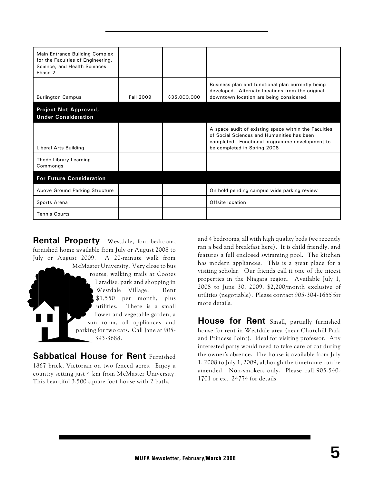| Main Entrance Building Complex<br>for the Faculties of Engineering,<br>Science, and Health Sciences<br>Phase 2 |                  |              |                                                                                                                                                                                     |
|----------------------------------------------------------------------------------------------------------------|------------------|--------------|-------------------------------------------------------------------------------------------------------------------------------------------------------------------------------------|
| <b>Burlington Campus</b>                                                                                       | <b>Fall 2009</b> | \$35,000,000 | Business plan and functional plan currently being<br>developed. Alternate locations from the original<br>downtown location are being considered.                                    |
| Project Not Approved,<br><b>Under Consideration</b>                                                            |                  |              |                                                                                                                                                                                     |
| Liberal Arts Building                                                                                          |                  |              | A space audit of existing space within the Faculties<br>of Social Sciences and Humanities has been<br>completed. Functional programme development to<br>be completed in Spring 2008 |
| Thode Library Learning<br>Commongs                                                                             |                  |              |                                                                                                                                                                                     |
| <b>For Future Consideration</b>                                                                                |                  |              |                                                                                                                                                                                     |
| Above Ground Parking Structure                                                                                 |                  |              | On hold pending campus wide parking review                                                                                                                                          |
| Sports Arena                                                                                                   |                  |              | Offsite location                                                                                                                                                                    |
| <b>Tennis Courts</b>                                                                                           |                  |              |                                                                                                                                                                                     |

**Rental Property** Westdale, four-bedroom, furnished home available from July or August 2008 to July or August 2009. A 20-minute walk from

McMaster University. Very close to bus routes, walking trails at Cootes Paradise, park and shopping in Westdale Village. Rent \$1,550 per month, plus utilities. There is a small flower and vegetable garden, a sun room, all appliances and parking for two cars. Call Jane at 905- 393-3688.

**Sabbatical House for Rent Furnished** 1867 brick, Victorian on two fenced acres. Enjoy a country setting just 4 km from McMaster University. This beautiful 3,500 square foot house with 2 baths

and 4 bedrooms, all with high quality beds (we recently ran a bed and breakfast here). It is child friendly, and features a full enclosed swimming pool. The kitchen has modern appliances. This is a great place for a visiting scholar. Our friends call it one of the nicest properties in the Niagara region. Available July 1, 2008 to June 30, 2009. \$2,200/month exclusive of utilities (negotiable). Please contact 905-304-1655 for more details.

**House for Rent** Small, partially furnished house for rent in Westdale area (near Churchill Park and Princess Point). Ideal for visiting professor. Any interested party would need to take care of cat during the owner's absence. The house is available from July 1, 2008 to July 1, 2009, although the timeframe can be amended. Non-smokers only. Please call 905-540- 1701 or ext. 24774 for details.